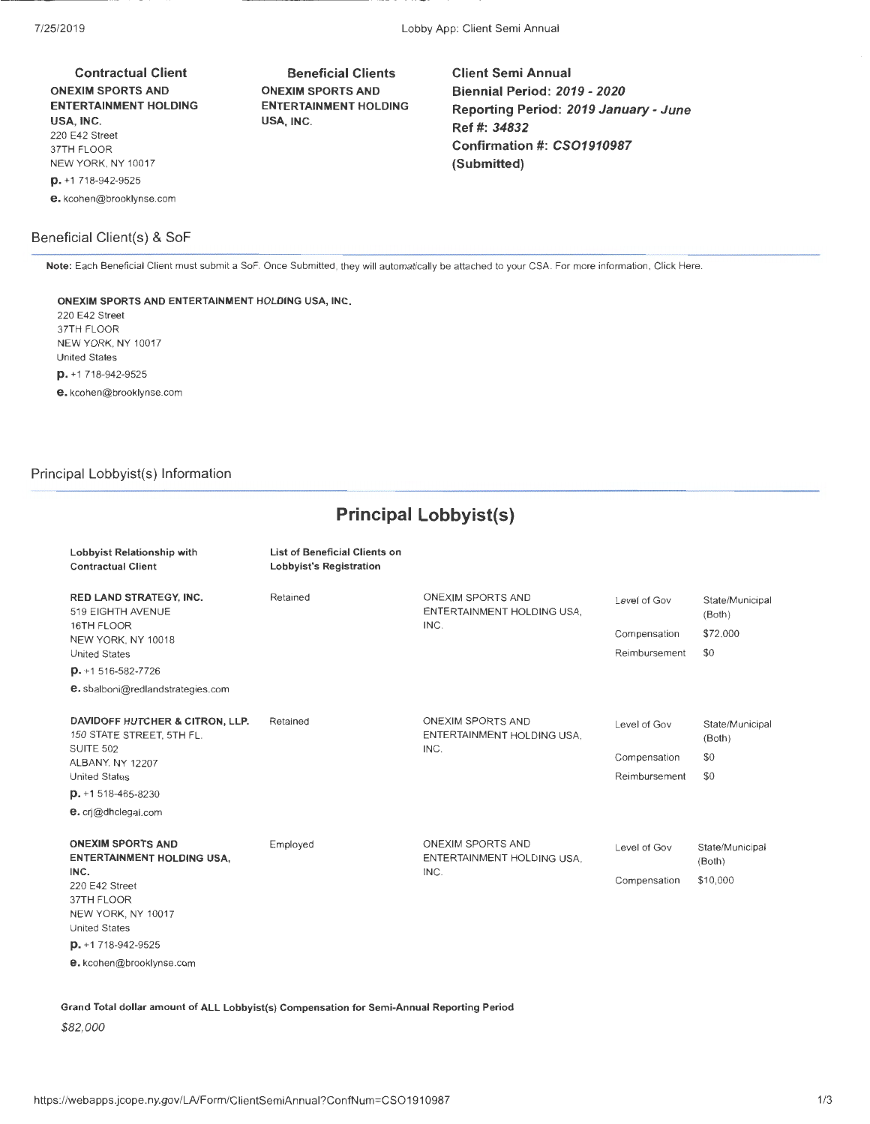Contractual Client ONEXIM SPORTS AND ENTERTAINMENT HOLDING USA, INC. 220 E42 Street 37TH FLOOR NEW YORK, NY 10017 p. +1 718-942-9525 e. kcohen@brooklynse.com

## Beneficial Client(s) & SoF

Beneficial Clients ONEXIM SPORTS AND ENTERTAINMENT HOLDING USA, INC.

Client Semi Annual Biennial Period: *2019- 2020*  Reporting Period: *2019* January- June Ref#: *34832*  Confirmation#: *CS01910987*  (Submitted)

Note: Each Beneficial Client must submit a SoF. Once Submitted, they will automatically be attached to your GSA. For more information, Click Here.

#### ONEXIM SPORTS AND ENTERTAINMENT HOLDING USA, INC.

220 E42 Street 37TH FLOOR NEW YORK, NY 10017 United States p. +1 718-942-9525

e. kcohen@brooklynse.com

## Principal Lobbyist(s) Information

Lobbyist Relationship with

# **Principal Lobbyist(s}**

List of Beneficial Clients on

| <b>Contractual Client</b>                                             | Lobbyist's Registration |                                                         |               |                           |
|-----------------------------------------------------------------------|-------------------------|---------------------------------------------------------|---------------|---------------------------|
| <b>RED LAND STRATEGY, INC.</b><br>519 EIGHTH AVENUE                   | Retained                | ONEXIM SPORTS AND<br>ENTERTAINMENT HOLDING USA.         | Level of Gov  | State/Municipal<br>(Both) |
| 16TH FLOOR<br>NEW YORK, NY 10018                                      |                         | INC.                                                    | Compensation  | \$72,000                  |
| <b>United States</b>                                                  |                         |                                                         | Reimbursement | \$0                       |
| $D. + 1516 - 582 - 7726$                                              |                         |                                                         |               |                           |
| e. sbalboni@redlandstrategies.com                                     |                         |                                                         |               |                           |
| DAVIDOFF HUTCHER & CITRON, LLP.<br>150 STATE STREET, 5TH FL.          | Retained                | <b>ONEXIM SPORTS AND</b><br>ENTERTAINMENT HOLDING USA.  | Level of Gov  | State/Municipal<br>(Both) |
| <b>SUITE 502</b><br>ALBANY, NY 12207                                  |                         | INC.                                                    | Compensation  | \$0                       |
| <b>United States</b>                                                  |                         |                                                         | Reimbursement | \$0                       |
| $D. + 1518 - 465 - 8230$                                              |                         |                                                         |               |                           |
| e. cri@dhclegal.com                                                   |                         |                                                         |               |                           |
| <b>ONEXIM SPORTS AND</b><br><b>ENTERTAINMENT HOLDING USA,</b><br>INC. | Employed                | ONEXIM SPORTS AND<br>ENTERTAINMENT HOLDING USA.<br>INC. | Level of Gov  | State/Municipal<br>(Both) |
| 220 E42 Street                                                        |                         |                                                         | Compensation  | \$10,000                  |
| 37TH FLOOR<br>NEW YORK, NY 10017                                      |                         |                                                         |               |                           |
| <b>United States</b>                                                  |                         |                                                         |               |                           |
| $D. + 1718 - 942 - 9525$                                              |                         |                                                         |               |                           |
| e. kcohen@brooklynse.com                                              |                         |                                                         |               |                           |

Grand Total dollar amount of ALL Lobbyist(s) Compensation for Semi-Annual Reporting Period

*\$82,000*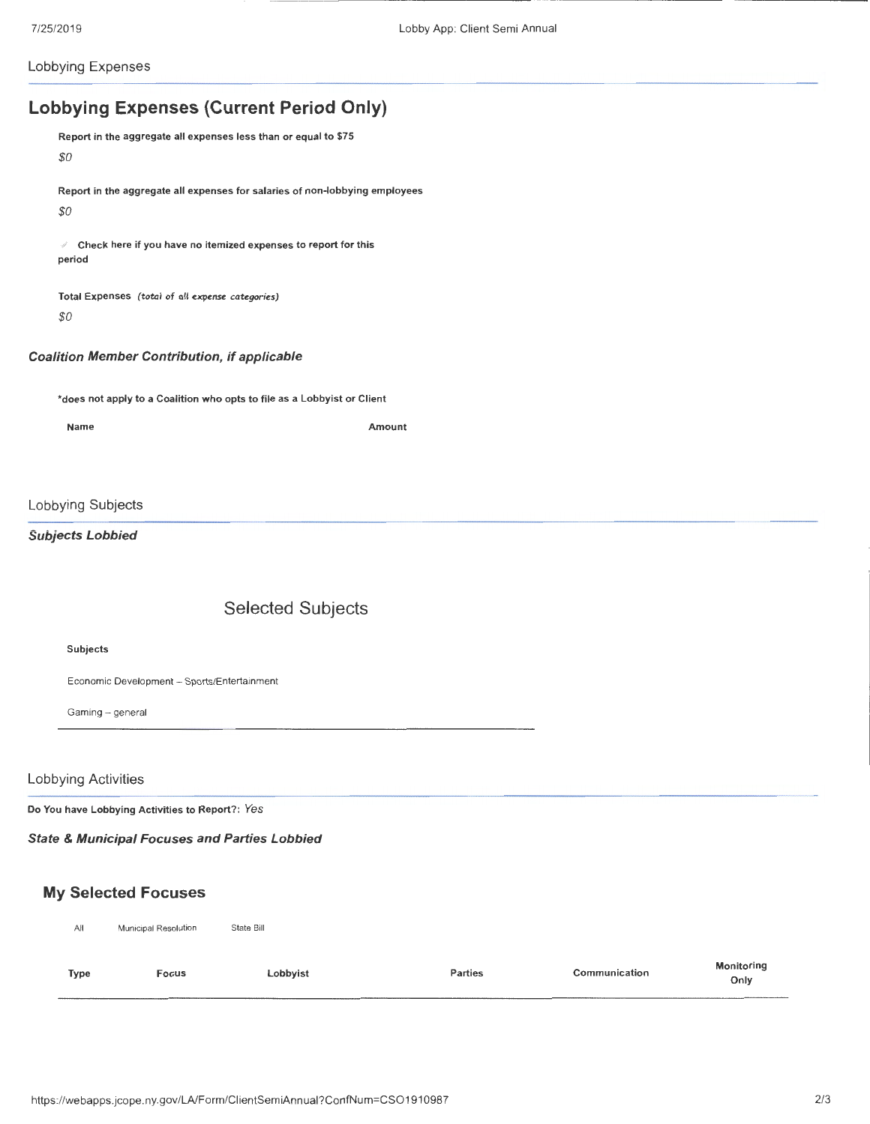Lobbying Expenses

# Lobbying Expenses (Current Period Only)

Report in the aggregate all expenses less than or equal to \$75 *\$0*  Report in the aggregate all expenses for salaries of non-lobbying employees *\$0* 

 $\ell$  Check here if you have no itemized expenses to report for this period

Total Expenses *(total of all* expense *categories) \$0* 

#### Coalition Member Contribution, if applicable

\*does not apply to a Coalition who opts to file as a Lobbyist or Client

Name Amount

### Lobbying Subjects

## Subjects Lobbied

## Selected Subjects

#### Subjects

Economic Development - Sports/Entertainment

Gaming- general

#### Lobbying Activities

Do You have Lobbying Activities to Report? : *Yes* 

### State & Municipal Focuses and Parties Lobbied

## My Selected Focuses

| All         | Municipal Resolution | State Bill |         |               |                           |
|-------------|----------------------|------------|---------|---------------|---------------------------|
| <b>Type</b> | Focus                | Lobbyist   | Parties | Communication | <b>Monitoring</b><br>Only |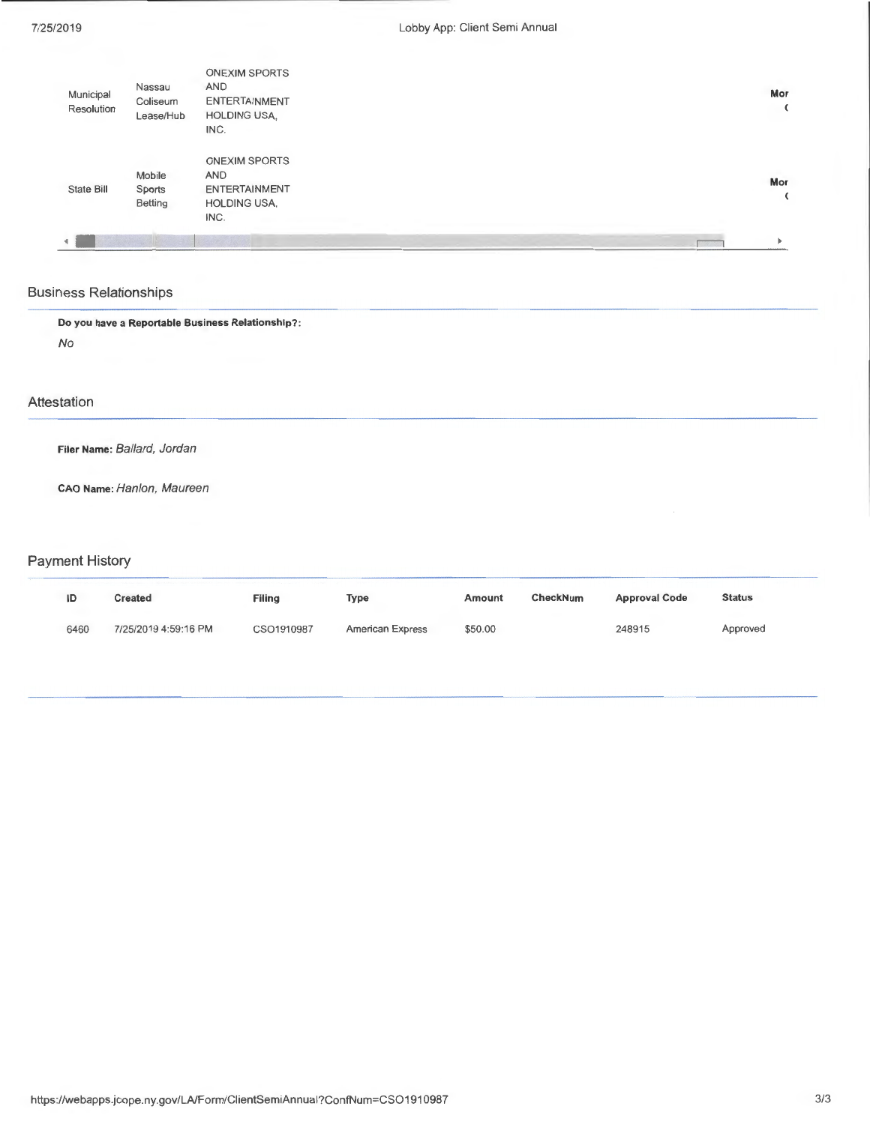| Municipal<br>Resolution | Nassau<br>Coliseum<br>Lease/Hub | <b>ONEXIM SPORTS</b><br><b>AND</b><br><b>ENTERTAINMENT</b><br><b>HOLDING USA,</b><br>INC. | Mor |
|-------------------------|---------------------------------|-------------------------------------------------------------------------------------------|-----|
| State Bill              | Mobile<br>Sports<br>Betting     | <b>ONEXIM SPORTS</b><br><b>AND</b><br><b>ENTERTAINMENT</b><br><b>HOLDING USA,</b><br>INC. | Mor |
|                         |                                 |                                                                                           |     |

## Business Relationships

Do you have a Reportable Business Relationship? : No

## Attestation

Filer Name: Ballard, Jordan

CAO Name: Hanlon, Maureen

## Payment History

| ID   | <b>Created</b>       | <b>Filing</b> | Type                    | Amount  | CheckNum | <b>Approval Code</b> | <b>Status</b> |
|------|----------------------|---------------|-------------------------|---------|----------|----------------------|---------------|
| 6460 | 7/25/2019 4:59:16 PM | CSO1910987    | <b>American Express</b> | \$50.00 |          | 248915               | Approved      |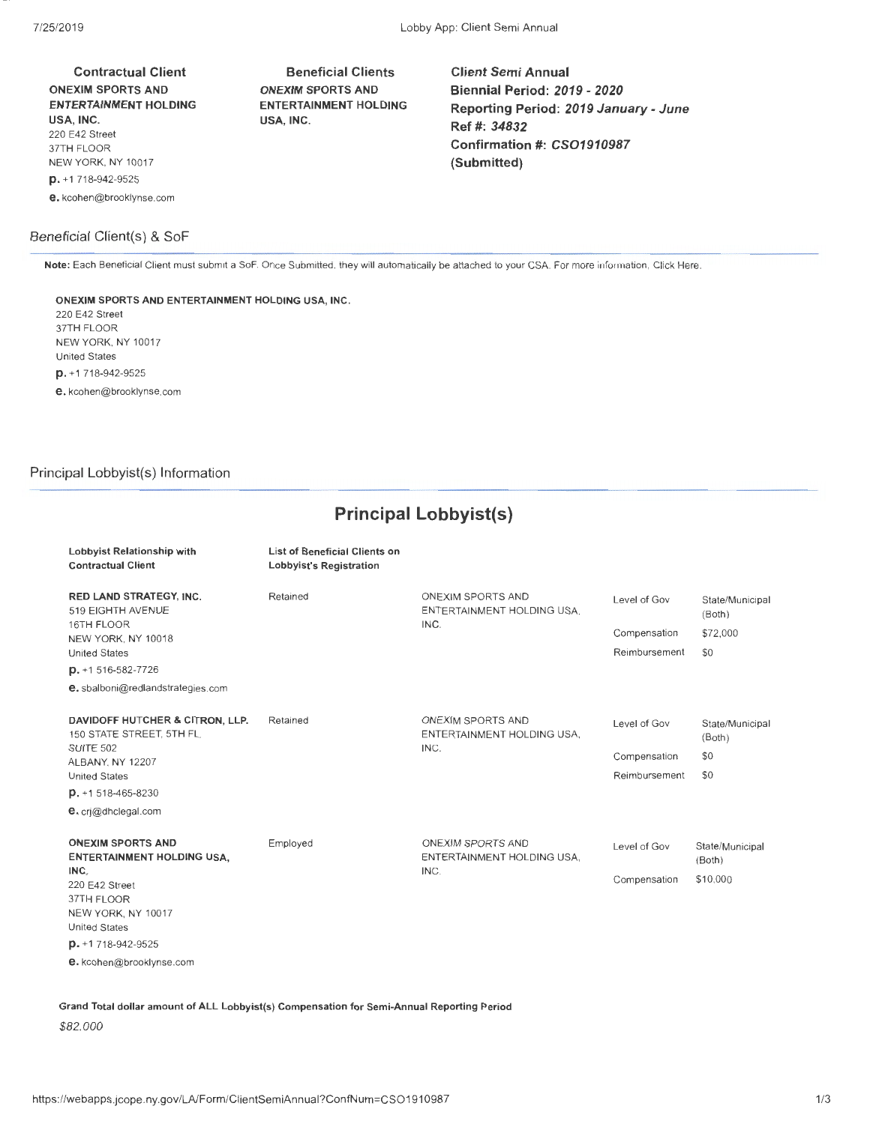Contractual Client ONEXIM SPORTS AND ENTERTAINMENT HOLDING USA, INC. 220 E42 Street 37TH FLOOR NEW YORK, NY 10017 p. +1 718-942-9525 e. kcohen@brooklynse.com

### Beneficial Client(s) & SoF

Beneficial Clients ONEXIM SPORTS AND ENTERTAINMENT HOLDING USA, INC.

Client Semi Annual Biennial Period: *2019- 2020*  Reporting Period: *2019* January - June Ref#: *34832*  Confirmation#: *CS01910987*  (Submitted)

Note: Each Beneficial Client must submit a SoF. Once Submitted, they will automatically be attached to your CCA. For more information, Click Here.

ONEXIM SPORTS AND ENTERTAINMENT HOLDING USA, INC. 220 E42 Street

37TH FLOOR NEW YORK, NY 10017 United States p. +1 718-942-9525 e. kcohen@brooklynse.com

## Principal Lobbyist(s) Information

Lobbyist Relationship with

## **Principal Lobbyist(s)**

List of Beneficial Clients on

| <b>Contractual Client</b>                                                               | <b>Lobbyist's Registration</b> |                                                                |                              |                                       |
|-----------------------------------------------------------------------------------------|--------------------------------|----------------------------------------------------------------|------------------------------|---------------------------------------|
| <b>RED LAND STRATEGY, INC.</b><br>519 EIGHTH AVENUE<br>16TH FLOOR<br>NEW YORK, NY 10018 | Retained                       | <b>ONEXIM SPORTS AND</b><br>ENTERTAINMENT HOLDING USA.<br>INC. | Level of Gov<br>Compensation | State/Municipal<br>(Both)<br>\$72,000 |
| <b>United States</b>                                                                    |                                |                                                                | Reimbursement                | \$0                                   |
| $D. + 1516 - 582 - 7726$                                                                |                                |                                                                |                              |                                       |
| e. sbalboni@redlandstrategies.com                                                       |                                |                                                                |                              |                                       |
| DAVIDOFF HUTCHER & CITRON, LLP.<br>150 STATE STREET, 5TH FL.                            | Retained                       | ONEXIM SPORTS AND<br>ENTERTAINMENT HOLDING USA.                | Level of Gov                 | State/Municipal<br>(Both)             |
| <b>SUITE 502</b><br>ALBANY, NY 12207                                                    |                                | INC.                                                           | Compensation                 | \$0                                   |
| <b>United States</b>                                                                    |                                |                                                                | Reimbursement                | \$0                                   |
| $p. + 1518 - 465 - 8230$                                                                |                                |                                                                |                              |                                       |
| e. cri@dhclegal.com                                                                     |                                |                                                                |                              |                                       |
| <b>ONEXIM SPORTS AND</b><br><b>ENTERTAINMENT HOLDING USA,</b>                           | Employed                       | ONEXIM SPORTS AND<br>ENTERTAINMENT HOLDING USA.                | Level of Gov                 | State/Municipal<br>(Both)             |
| INC.<br>220 E42 Street<br>37TH FLOOR<br>NEW YORK, NY 10017<br><b>United States</b>      |                                | INC.                                                           | Compensation                 | \$10,000                              |
| $D. + 1718 - 942 - 9525$                                                                |                                |                                                                |                              |                                       |
| e. kcohen@brooklynse.com                                                                |                                |                                                                |                              |                                       |

Grand Total dollar amount of ALL Lobbyist(s) Compensation for Semi-Annual Reporting Period

\$82,000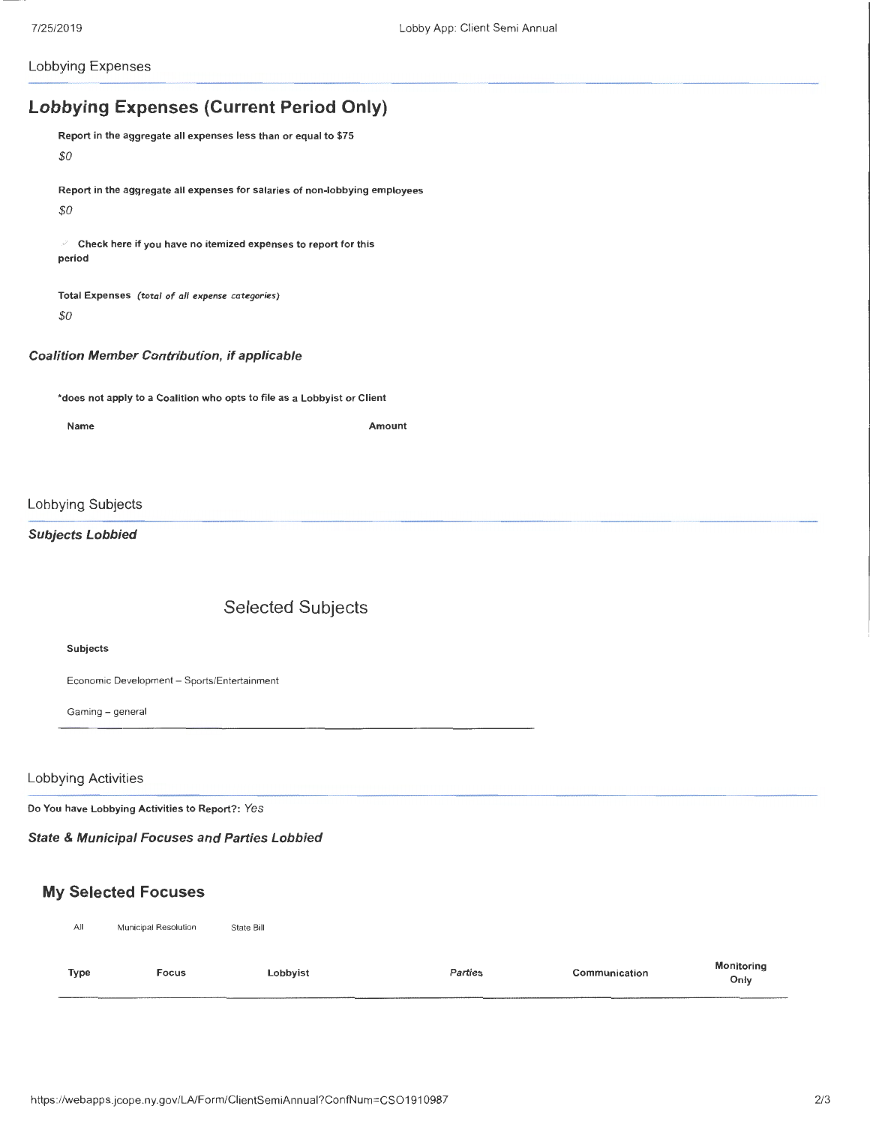Lobbying Expenses

# **Lobbying Expenses (Current Period Only)**

Report in the aggregate all expenses less than or equal to \$75 *\$0* 

Report in the aggregate all expenses for salaries of non-lobbying employees *\$0* 

Check here if you have no itemized expenses to report for this period

Total Expenses *(total of all expense categories) \$0* 

#### Coalition Member Contribution, if applicable

\*does not apply to a Coalition who opts to file as a Lobbyist or Client

Name Amount

### Lobbying Subjects

### Subjects Lobbied

## Selected Subjects

#### Subjects

Economic Development - Sports/Entertainment

Gaming- general

#### Lobbying Activities

Do You have Lobbying Activities to Report?: *Yes* 

State & Municipal Focuses and Parties Lobbied

## **My** Selected Focuses

| All         | Municipal Resolution | State Bill |                |               |                           |
|-------------|----------------------|------------|----------------|---------------|---------------------------|
| <b>Type</b> | <b>Focus</b>         | Lobbyist   | <b>Parties</b> | Communication | <b>Monitoring</b><br>Only |